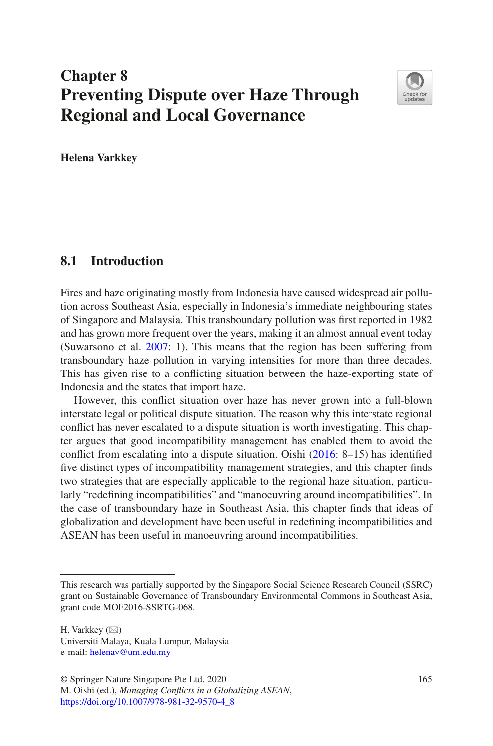# **Chapter 8 Preventing Dispute over Haze Through Regional and Local Governance**



**Helena Varkkey**

## **8.1 Introduction**

Fires and haze originating mostly from Indonesia have caused widespread air pollution across Southeast Asia, especially in Indonesia's immediate neighbouring states of Singapore and Malaysia. This transboundary pollution was first reported in 1982 and has grown more frequent over the years, making it an almost annual event today (Suwarsono et al. [2007](#page-23-0): 1). This means that the region has been suffering from transboundary haze pollution in varying intensities for more than three decades. This has given rise to a conflicting situation between the haze-exporting state of Indonesia and the states that import haze.

However, this conflict situation over haze has never grown into a full-blown interstate legal or political dispute situation. The reason why this interstate regional conflict has never escalated to a dispute situation is worth investigating. This chapter argues that good incompatibility management has enabled them to avoid the conflict from escalating into a dispute situation. Oishi ([2016:](#page-22-0) 8–15) has identified five distinct types of incompatibility management strategies, and this chapter finds two strategies that are especially applicable to the regional haze situation, particularly "redefining incompatibilities" and "manoeuvring around incompatibilities". In the case of transboundary haze in Southeast Asia, this chapter finds that ideas of globalization and development have been useful in redefining incompatibilities and ASEAN has been useful in manoeuvring around incompatibilities.

H. Varkkey  $(\boxtimes)$ 

M. Oishi (ed.), *Managing Conflicts in a Globalizing ASEAN*, [https://doi.org/10.1007/978-981-32-9570-4\\_8](https://doi.org/10.1007/978-981-32-9570-4_8)

This research was partially supported by the Singapore Social Science Research Council (SSRC) grant on Sustainable Governance of Transboundary Environmental Commons in Southeast Asia, grant code MOE2016-SSRTG-068.

Universiti Malaya, Kuala Lumpur, Malaysia e-mail: [helenav@um.edu.my](mailto:helenav@um.edu.my)

<sup>©</sup> Springer Nature Singapore Pte Ltd. 2020 165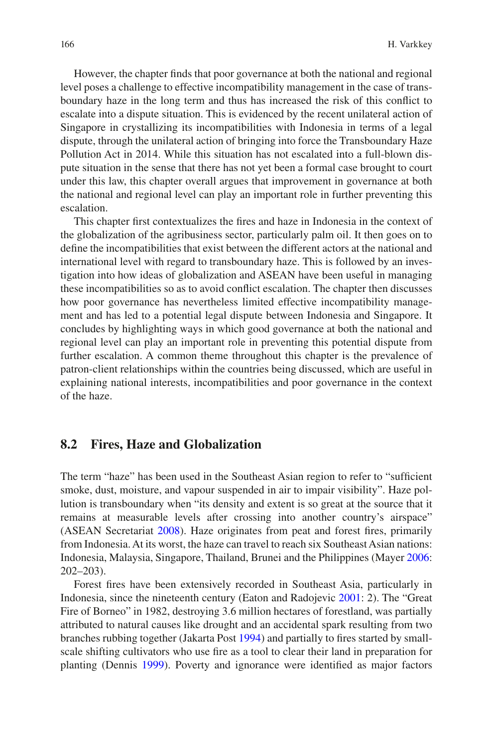However, the chapter finds that poor governance at both the national and regional level poses a challenge to effective incompatibility management in the case of transboundary haze in the long term and thus has increased the risk of this conflict to escalate into a dispute situation. This is evidenced by the recent unilateral action of Singapore in crystallizing its incompatibilities with Indonesia in terms of a legal dispute, through the unilateral action of bringing into force the Transboundary Haze Pollution Act in 2014. While this situation has not escalated into a full-blown dispute situation in the sense that there has not yet been a formal case brought to court under this law, this chapter overall argues that improvement in governance at both the national and regional level can play an important role in further preventing this escalation.

This chapter first contextualizes the fires and haze in Indonesia in the context of the globalization of the agribusiness sector, particularly palm oil. It then goes on to define the incompatibilities that exist between the different actors at the national and international level with regard to transboundary haze. This is followed by an investigation into how ideas of globalization and ASEAN have been useful in managing these incompatibilities so as to avoid conflict escalation. The chapter then discusses how poor governance has nevertheless limited effective incompatibility management and has led to a potential legal dispute between Indonesia and Singapore. It concludes by highlighting ways in which good governance at both the national and regional level can play an important role in preventing this potential dispute from further escalation. A common theme throughout this chapter is the prevalence of patron-client relationships within the countries being discussed, which are useful in explaining national interests, incompatibilities and poor governance in the context of the haze.

#### **8.2 Fires, Haze and Globalization**

The term "haze" has been used in the Southeast Asian region to refer to "sufficient smoke, dust, moisture, and vapour suspended in air to impair visibility". Haze pollution is transboundary when "its density and extent is so great at the source that it remains at measurable levels after crossing into another country's airspace" (ASEAN Secretariat [2008\)](#page-19-0). Haze originates from peat and forest fires, primarily from Indonesia. At its worst, the haze can travel to reach six Southeast Asian nations: Indonesia, Malaysia, Singapore, Thailand, Brunei and the Philippines (Mayer [2006:](#page-22-1) 202–203).

Forest fires have been extensively recorded in Southeast Asia, particularly in Indonesia, since the nineteenth century (Eaton and Radojevic [2001](#page-20-0): 2). The "Great Fire of Borneo" in 1982, destroying 3.6 million hectares of forestland, was partially attributed to natural causes like drought and an accidental spark resulting from two branches rubbing together (Jakarta Post [1994\)](#page-21-0) and partially to fires started by smallscale shifting cultivators who use fire as a tool to clear their land in preparation for planting (Dennis [1999](#page-20-1)). Poverty and ignorance were identified as major factors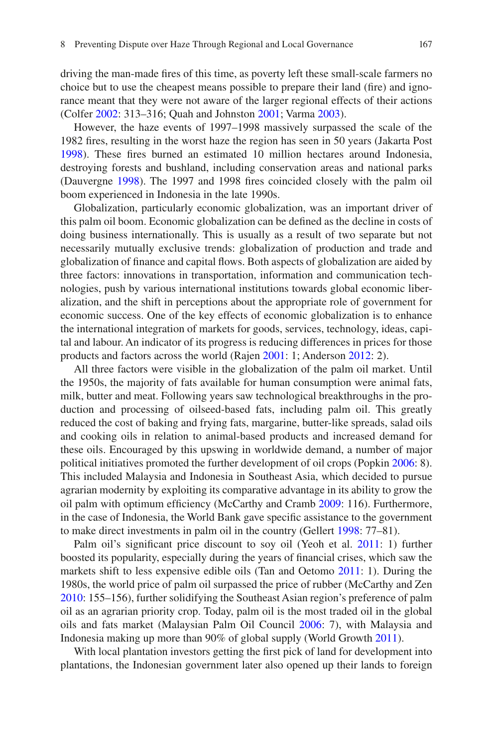driving the man-made fires of this time, as poverty left these small-scale farmers no choice but to use the cheapest means possible to prepare their land (fire) and ignorance meant that they were not aware of the larger regional effects of their actions (Colfer [2002](#page-20-2): 313–316; Quah and Johnston [2001;](#page-22-2) Varma [2003](#page-24-0)).

However, the haze events of 1997–1998 massively surpassed the scale of the 1982 fires, resulting in the worst haze the region has seen in 50 years (Jakarta Post [1998\)](#page-21-1). These fires burned an estimated 10 million hectares around Indonesia, destroying forests and bushland, including conservation areas and national parks (Dauvergne [1998](#page-20-3)). The 1997 and 1998 fires coincided closely with the palm oil boom experienced in Indonesia in the late 1990s.

Globalization, particularly economic globalization, was an important driver of this palm oil boom. Economic globalization can be defined as the decline in costs of doing business internationally. This is usually as a result of two separate but not necessarily mutually exclusive trends: globalization of production and trade and globalization of finance and capital flows. Both aspects of globalization are aided by three factors: innovations in transportation, information and communication technologies, push by various international institutions towards global economic liberalization, and the shift in perceptions about the appropriate role of government for economic success. One of the key effects of economic globalization is to enhance the international integration of markets for goods, services, technology, ideas, capital and labour. An indicator of its progress is reducing differences in prices for those products and factors across the world (Rajen [2001](#page-22-3): 1; Anderson [2012:](#page-19-1) 2).

All three factors were visible in the globalization of the palm oil market. Until the 1950s, the majority of fats available for human consumption were animal fats, milk, butter and meat. Following years saw technological breakthroughs in the production and processing of oilseed-based fats, including palm oil. This greatly reduced the cost of baking and frying fats, margarine, butter-like spreads, salad oils and cooking oils in relation to animal-based products and increased demand for these oils. Encouraged by this upswing in worldwide demand, a number of major political initiatives promoted the further development of oil crops (Popkin [2006:](#page-22-4) 8). This included Malaysia and Indonesia in Southeast Asia, which decided to pursue agrarian modernity by exploiting its comparative advantage in its ability to grow the oil palm with optimum efficiency (McCarthy and Cramb [2009](#page-22-5): 116). Furthermore, in the case of Indonesia, the World Bank gave specific assistance to the government to make direct investments in palm oil in the country (Gellert [1998:](#page-21-2) 77–81).

Palm oil's significant price discount to soy oil (Yeoh et al. [2011:](#page-24-1) 1) further boosted its popularity, especially during the years of financial crises, which saw the markets shift to less expensive edible oils (Tan and Oetomo [2011:](#page-23-1) 1). During the 1980s, the world price of palm oil surpassed the price of rubber (McCarthy and Zen [2010:](#page-22-6) 155–156), further solidifying the Southeast Asian region's preference of palm oil as an agrarian priority crop. Today, palm oil is the most traded oil in the global oils and fats market (Malaysian Palm Oil Council [2006:](#page-22-7) 7), with Malaysia and Indonesia making up more than 90% of global supply (World Growth [2011\)](#page-24-2).

With local plantation investors getting the first pick of land for development into plantations, the Indonesian government later also opened up their lands to foreign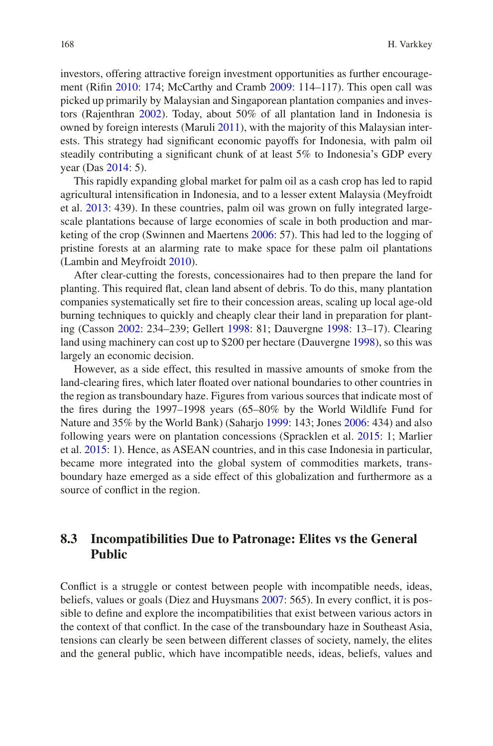investors, offering attractive foreign investment opportunities as further encouragement (Rifin [2010](#page-22-8): 174; McCarthy and Cramb [2009](#page-22-5): 114–117). This open call was picked up primarily by Malaysian and Singaporean plantation companies and investors (Rajenthran [2002](#page-22-9)). Today, about 50% of all plantation land in Indonesia is owned by foreign interests (Maruli [2011](#page-22-10)), with the majority of this Malaysian interests. This strategy had significant economic payoffs for Indonesia, with palm oil steadily contributing a significant chunk of at least 5% to Indonesia's GDP every year (Das [2014:](#page-20-4) 5).

This rapidly expanding global market for palm oil as a cash crop has led to rapid agricultural intensification in Indonesia, and to a lesser extent Malaysia (Meyfroidt et al. [2013](#page-22-11): 439). In these countries, palm oil was grown on fully integrated largescale plantations because of large economies of scale in both production and marketing of the crop (Swinnen and Maertens [2006](#page-23-2): 57). This had led to the logging of pristine forests at an alarming rate to make space for these palm oil plantations (Lambin and Meyfroidt [2010\)](#page-21-3).

After clear-cutting the forests, concessionaires had to then prepare the land for planting. This required flat, clean land absent of debris. To do this, many plantation companies systematically set fire to their concession areas, scaling up local age-old burning techniques to quickly and cheaply clear their land in preparation for planting (Casson [2002](#page-20-5): 234–239; Gellert [1998:](#page-21-2) 81; Dauvergne [1998](#page-20-3): 13–17). Clearing land using machinery can cost up to \$200 per hectare (Dauvergne [1998\)](#page-20-3), so this was largely an economic decision.

However, as a side effect, this resulted in massive amounts of smoke from the land-clearing fires, which later floated over national boundaries to other countries in the region as transboundary haze. Figures from various sources that indicate most of the fires during the 1997–1998 years (65–80% by the World Wildlife Fund for Nature and 35% by the World Bank) (Saharjo [1999](#page-23-3): 143; Jones [2006:](#page-21-4) 434) and also following years were on plantation concessions (Spracklen et al. [2015:](#page-23-4) 1; Marlier et al. [2015](#page-22-12): 1). Hence, as ASEAN countries, and in this case Indonesia in particular, became more integrated into the global system of commodities markets, transboundary haze emerged as a side effect of this globalization and furthermore as a source of conflict in the region.

## **8.3 Incompatibilities Due to Patronage: Elites vs the General Public**

Conflict is a struggle or contest between people with incompatible needs, ideas, beliefs, values or goals (Diez and Huysmans [2007](#page-20-6): 565). In every conflict, it is possible to define and explore the incompatibilities that exist between various actors in the context of that conflict. In the case of the transboundary haze in Southeast Asia, tensions can clearly be seen between different classes of society, namely, the elites and the general public, which have incompatible needs, ideas, beliefs, values and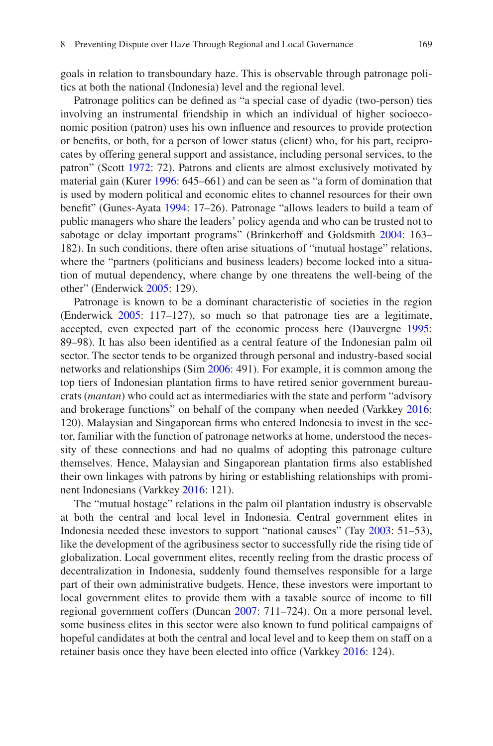goals in relation to transboundary haze. This is observable through patronage politics at both the national (Indonesia) level and the regional level.

Patronage politics can be defined as "a special case of dyadic (two-person) ties involving an instrumental friendship in which an individual of higher socioeconomic position (patron) uses his own influence and resources to provide protection or benefits, or both, for a person of lower status (client) who, for his part, reciprocates by offering general support and assistance, including personal services, to the patron" (Scott [1972](#page-23-5): 72). Patrons and clients are almost exclusively motivated by material gain (Kurer [1996](#page-21-5): 645–661) and can be seen as "a form of domination that is used by modern political and economic elites to channel resources for their own benefit" (Gunes-Ayata [1994:](#page-21-6) 17–26). Patronage "allows leaders to build a team of public managers who share the leaders' policy agenda and who can be trusted not to sabotage or delay important programs" (Brinkerhoff and Goldsmith [2004:](#page-19-2) 163– 182). In such conditions, there often arise situations of "mutual hostage" relations, where the "partners (politicians and business leaders) become locked into a situation of mutual dependency, where change by one threatens the well-being of the other" (Enderwick [2005](#page-21-7): 129).

Patronage is known to be a dominant characteristic of societies in the region (Enderwick [2005](#page-21-7): 117–127), so much so that patronage ties are a legitimate, accepted, even expected part of the economic process here (Dauvergne [1995:](#page-20-7) 89–98). It has also been identified as a central feature of the Indonesian palm oil sector. The sector tends to be organized through personal and industry-based social networks and relationships (Sim [2006](#page-23-6): 491). For example, it is common among the top tiers of Indonesian plantation firms to have retired senior government bureaucrats (*mantan*) who could act as intermediaries with the state and perform "advisory and brokerage functions" on behalf of the company when needed (Varkkey [2016:](#page-23-7) 120). Malaysian and Singaporean firms who entered Indonesia to invest in the sector, familiar with the function of patronage networks at home, understood the necessity of these connections and had no qualms of adopting this patronage culture themselves. Hence, Malaysian and Singaporean plantation firms also established their own linkages with patrons by hiring or establishing relationships with prominent Indonesians (Varkkey [2016:](#page-23-7) 121).

The "mutual hostage" relations in the palm oil plantation industry is observable at both the central and local level in Indonesia. Central government elites in Indonesia needed these investors to support "national causes" (Tay [2003:](#page-23-8) 51–53), like the development of the agribusiness sector to successfully ride the rising tide of globalization. Local government elites, recently reeling from the drastic process of decentralization in Indonesia, suddenly found themselves responsible for a large part of their own administrative budgets. Hence, these investors were important to local government elites to provide them with a taxable source of income to fill regional government coffers (Duncan [2007](#page-20-8): 711–724). On a more personal level, some business elites in this sector were also known to fund political campaigns of hopeful candidates at both the central and local level and to keep them on staff on a retainer basis once they have been elected into office (Varkkey [2016:](#page-23-7) 124).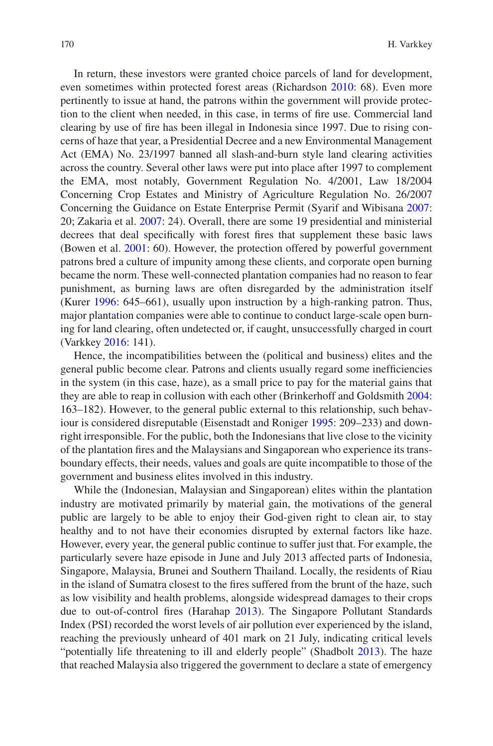In return, these investors were granted choice parcels of land for development, even sometimes within protected forest areas (Richardson [2010](#page-22-13): 68). Even more pertinently to issue at hand, the patrons within the government will provide protection to the client when needed, in this case, in terms of fire use. Commercial land clearing by use of fire has been illegal in Indonesia since 1997. Due to rising concerns of haze that year, a Presidential Decree and a new Environmental Management Act (EMA) No. 23/1997 banned all slash-and-burn style land clearing activities across the country. Several other laws were put into place after 1997 to complement the EMA, most notably, Government Regulation No. 4/2001, Law 18/2004 Concerning Crop Estates and Ministry of Agriculture Regulation No. 26/2007 Concerning the Guidance on Estate Enterprise Permit (Syarif and Wibisana [2007:](#page-23-9) 20; Zakaria et al. [2007](#page-24-3): 24). Overall, there are some 19 presidential and ministerial decrees that deal specifically with forest fires that supplement these basic laws (Bowen et al. [2001:](#page-19-3) 60). However, the protection offered by powerful government patrons bred a culture of impunity among these clients, and corporate open burning became the norm. These well-connected plantation companies had no reason to fear punishment, as burning laws are often disregarded by the administration itself (Kurer [1996:](#page-21-5) 645–661), usually upon instruction by a high-ranking patron. Thus, major plantation companies were able to continue to conduct large-scale open burning for land clearing, often undetected or, if caught, unsuccessfully charged in court (Varkkey [2016:](#page-23-7) 141).

Hence, the incompatibilities between the (political and business) elites and the general public become clear. Patrons and clients usually regard some inefficiencies in the system (in this case, haze), as a small price to pay for the material gains that they are able to reap in collusion with each other (Brinkerhoff and Goldsmith [2004:](#page-19-2) 163–182). However, to the general public external to this relationship, such behaviour is considered disreputable (Eisenstadt and Roniger [1995](#page-20-9): 209–233) and downright irresponsible. For the public, both the Indonesians that live close to the vicinity of the plantation fires and the Malaysians and Singaporean who experience its transboundary effects, their needs, values and goals are quite incompatible to those of the government and business elites involved in this industry.

While the (Indonesian, Malaysian and Singaporean) elites within the plantation industry are motivated primarily by material gain, the motivations of the general public are largely to be able to enjoy their God-given right to clean air, to stay healthy and to not have their economies disrupted by external factors like haze. However, every year, the general public continue to suffer just that. For example, the particularly severe haze episode in June and July 2013 affected parts of Indonesia, Singapore, Malaysia, Brunei and Southern Thailand. Locally, the residents of Riau in the island of Sumatra closest to the fires suffered from the brunt of the haze, such as low visibility and health problems, alongside widespread damages to their crops due to out-of-control fires (Harahap [2013\)](#page-21-8). The Singapore Pollutant Standards Index (PSI) recorded the worst levels of air pollution ever experienced by the island, reaching the previously unheard of 401 mark on 21 July, indicating critical levels "potentially life threatening to ill and elderly people" (Shadbolt [2013](#page-23-10)). The haze that reached Malaysia also triggered the government to declare a state of emergency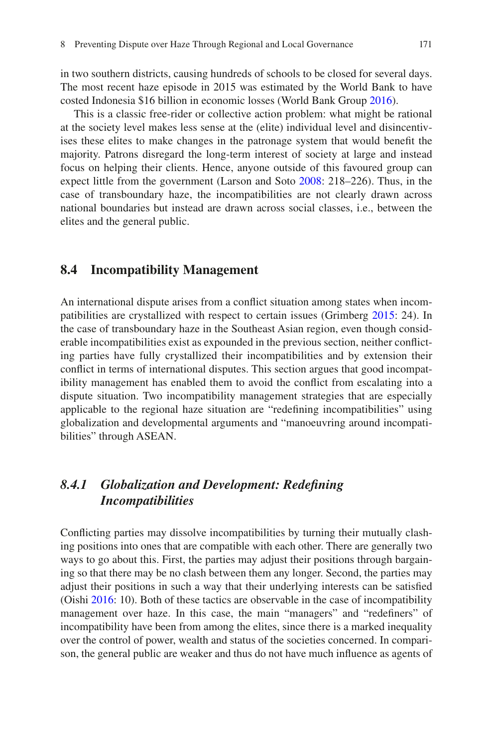in two southern districts, causing hundreds of schools to be closed for several days. The most recent haze episode in 2015 was estimated by the World Bank to have costed Indonesia \$16 billion in economic losses (World Bank Group [2016\)](#page-24-4).

This is a classic free-rider or collective action problem: what might be rational at the society level makes less sense at the (elite) individual level and disincentivises these elites to make changes in the patronage system that would benefit the majority. Patrons disregard the long-term interest of society at large and instead focus on helping their clients. Hence, anyone outside of this favoured group can expect little from the government (Larson and Soto [2008:](#page-21-9) 218–226). Thus, in the case of transboundary haze, the incompatibilities are not clearly drawn across national boundaries but instead are drawn across social classes, i.e., between the elites and the general public.

#### **8.4 Incompatibility Management**

An international dispute arises from a conflict situation among states when incompatibilities are crystallized with respect to certain issues (Grimberg [2015:](#page-21-10) 24). In the case of transboundary haze in the Southeast Asian region, even though considerable incompatibilities exist as expounded in the previous section, neither conflicting parties have fully crystallized their incompatibilities and by extension their conflict in terms of international disputes. This section argues that good incompatibility management has enabled them to avoid the conflict from escalating into a dispute situation. Two incompatibility management strategies that are especially applicable to the regional haze situation are "redefining incompatibilities" using globalization and developmental arguments and "manoeuvring around incompatibilities" through ASEAN.

## *8.4.1 Globalization and Development: Redefining Incompatibilities*

Conflicting parties may dissolve incompatibilities by turning their mutually clashing positions into ones that are compatible with each other. There are generally two ways to go about this. First, the parties may adjust their positions through bargaining so that there may be no clash between them any longer. Second, the parties may adjust their positions in such a way that their underlying interests can be satisfied (Oishi [2016](#page-22-0): 10). Both of these tactics are observable in the case of incompatibility management over haze. In this case, the main "managers" and "redefiners" of incompatibility have been from among the elites, since there is a marked inequality over the control of power, wealth and status of the societies concerned. In comparison, the general public are weaker and thus do not have much influence as agents of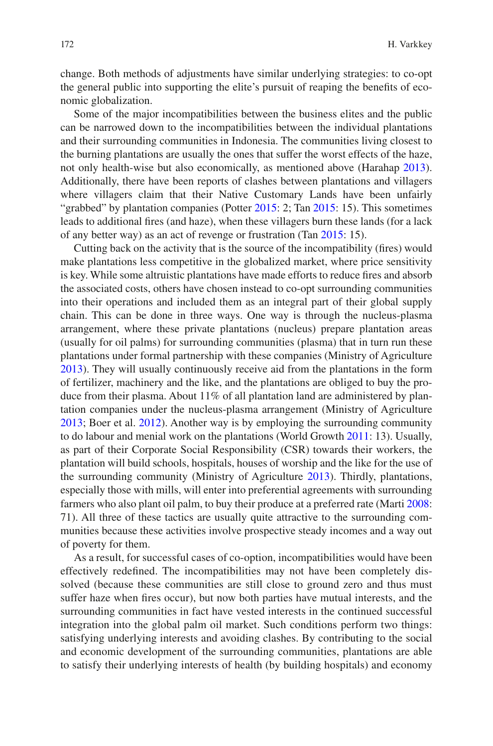change. Both methods of adjustments have similar underlying strategies: to co-opt the general public into supporting the elite's pursuit of reaping the benefits of economic globalization.

Some of the major incompatibilities between the business elites and the public can be narrowed down to the incompatibilities between the individual plantations and their surrounding communities in Indonesia. The communities living closest to the burning plantations are usually the ones that suffer the worst effects of the haze, not only health-wise but also economically, as mentioned above (Harahap [2013\)](#page-21-8). Additionally, there have been reports of clashes between plantations and villagers where villagers claim that their Native Customary Lands have been unfairly "grabbed" by plantation companies (Potter [2015:](#page-22-14) 2; Tan [2015](#page-23-11): 15). This sometimes leads to additional fires (and haze), when these villagers burn these lands (for a lack of any better way) as an act of revenge or frustration (Tan [2015](#page-23-11): 15).

Cutting back on the activity that is the source of the incompatibility (fires) would make plantations less competitive in the globalized market, where price sensitivity is key. While some altruistic plantations have made efforts to reduce fires and absorb the associated costs, others have chosen instead to co-opt surrounding communities into their operations and included them as an integral part of their global supply chain. This can be done in three ways. One way is through the nucleus-plasma arrangement, where these private plantations (nucleus) prepare plantation areas (usually for oil palms) for surrounding communities (plasma) that in turn run these plantations under formal partnership with these companies (Ministry of Agriculture [2013\)](#page-22-15). They will usually continuously receive aid from the plantations in the form of fertilizer, machinery and the like, and the plantations are obliged to buy the produce from their plasma. About  $11\%$  of all plantation land are administered by plantation companies under the nucleus-plasma arrangement (Ministry of Agriculture [2013;](#page-22-15) Boer et al. [2012\)](#page-19-4). Another way is by employing the surrounding community to do labour and menial work on the plantations (World Growth [2011](#page-24-2): 13). Usually, as part of their Corporate Social Responsibility (CSR) towards their workers, the plantation will build schools, hospitals, houses of worship and the like for the use of the surrounding community (Ministry of Agriculture [2013](#page-22-15)). Thirdly, plantations, especially those with mills, will enter into preferential agreements with surrounding farmers who also plant oil palm, to buy their produce at a preferred rate (Marti [2008:](#page-22-16) 71). All three of these tactics are usually quite attractive to the surrounding communities because these activities involve prospective steady incomes and a way out of poverty for them.

As a result, for successful cases of co-option, incompatibilities would have been effectively redefined. The incompatibilities may not have been completely dissolved (because these communities are still close to ground zero and thus must suffer haze when fires occur), but now both parties have mutual interests, and the surrounding communities in fact have vested interests in the continued successful integration into the global palm oil market. Such conditions perform two things: satisfying underlying interests and avoiding clashes. By contributing to the social and economic development of the surrounding communities, plantations are able to satisfy their underlying interests of health (by building hospitals) and economy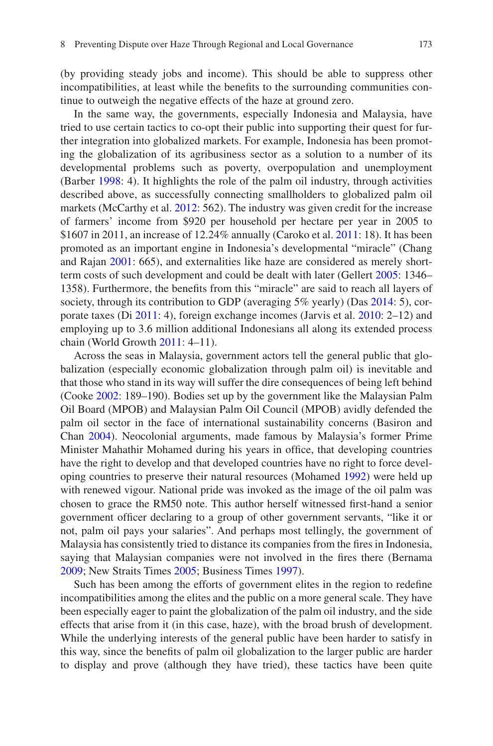(by providing steady jobs and income). This should be able to suppress other incompatibilities, at least while the benefits to the surrounding communities continue to outweigh the negative effects of the haze at ground zero.

In the same way, the governments, especially Indonesia and Malaysia, have tried to use certain tactics to co-opt their public into supporting their quest for further integration into globalized markets. For example, Indonesia has been promoting the globalization of its agribusiness sector as a solution to a number of its developmental problems such as poverty, overpopulation and unemployment (Barber [1998:](#page-19-5) 4). It highlights the role of the palm oil industry, through activities described above, as successfully connecting smallholders to globalized palm oil markets (McCarthy et al. [2012:](#page-22-17) 562). The industry was given credit for the increase of farmers' income from \$920 per household per hectare per year in 2005 to \$1607 in 2011, an increase of 12.24% annually (Caroko et al. [2011:](#page-20-10) 18). It has been promoted as an important engine in Indonesia's developmental "miracle" (Chang and Rajan [2001](#page-20-11): 665), and externalities like haze are considered as merely shortterm costs of such development and could be dealt with later (Gellert [2005](#page-21-11): 1346– 1358). Furthermore, the benefits from this "miracle" are said to reach all layers of society, through its contribution to GDP (averaging 5% yearly) (Das [2014:](#page-20-4) 5), corporate taxes (Di [2011:](#page-20-12) 4), foreign exchange incomes (Jarvis et al. [2010:](#page-21-12) 2–12) and employing up to 3.6 million additional Indonesians all along its extended process chain (World Growth [2011](#page-24-2): 4–11).

Across the seas in Malaysia, government actors tell the general public that globalization (especially economic globalization through palm oil) is inevitable and that those who stand in its way will suffer the dire consequences of being left behind (Cooke [2002:](#page-20-13) 189–190). Bodies set up by the government like the Malaysian Palm Oil Board (MPOB) and Malaysian Palm Oil Council (MPOB) avidly defended the palm oil sector in the face of international sustainability concerns (Basiron and Chan [2004](#page-19-6)). Neocolonial arguments, made famous by Malaysia's former Prime Minister Mahathir Mohamed during his years in office, that developing countries have the right to develop and that developed countries have no right to force developing countries to preserve their natural resources (Mohamed [1992\)](#page-22-18) were held up with renewed vigour. National pride was invoked as the image of the oil palm was chosen to grace the RM50 note. This author herself witnessed first-hand a senior government officer declaring to a group of other government servants, "like it or not, palm oil pays your salaries". And perhaps most tellingly, the government of Malaysia has consistently tried to distance its companies from the fires in Indonesia, saying that Malaysian companies were not involved in the fires there (Bernama [2009;](#page-19-7) New Straits Times [2005](#page-22-19); Business Times [1997\)](#page-19-8).

Such has been among the efforts of government elites in the region to redefine incompatibilities among the elites and the public on a more general scale. They have been especially eager to paint the globalization of the palm oil industry, and the side effects that arise from it (in this case, haze), with the broad brush of development. While the underlying interests of the general public have been harder to satisfy in this way, since the benefits of palm oil globalization to the larger public are harder to display and prove (although they have tried), these tactics have been quite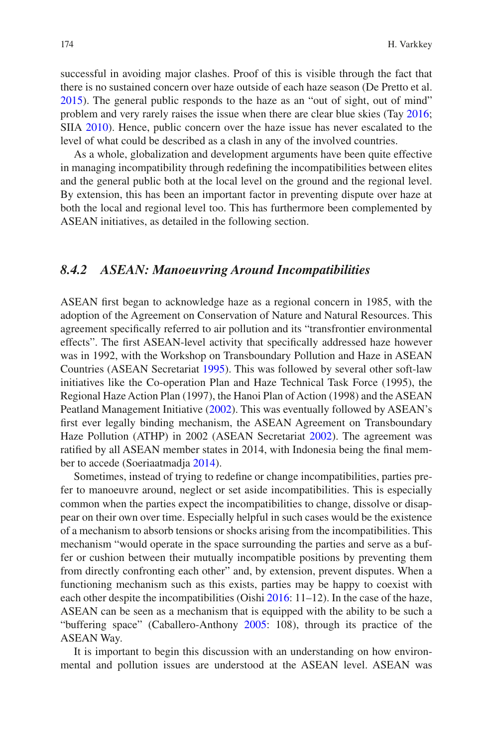successful in avoiding major clashes. Proof of this is visible through the fact that there is no sustained concern over haze outside of each haze season (De Pretto et al. [2015\)](#page-20-14). The general public responds to the haze as an "out of sight, out of mind" problem and very rarely raises the issue when there are clear blue skies (Tay [2016;](#page-23-12) SIIA [2010\)](#page-23-13). Hence, public concern over the haze issue has never escalated to the level of what could be described as a clash in any of the involved countries.

As a whole, globalization and development arguments have been quite effective in managing incompatibility through redefining the incompatibilities between elites and the general public both at the local level on the ground and the regional level. By extension, this has been an important factor in preventing dispute over haze at both the local and regional level too. This has furthermore been complemented by ASEAN initiatives, as detailed in the following section.

#### *8.4.2 ASEAN: Manoeuvring Around Incompatibilities*

ASEAN first began to acknowledge haze as a regional concern in 1985, with the adoption of the Agreement on Conservation of Nature and Natural Resources. This agreement specifically referred to air pollution and its "transfrontier environmental effects". The first ASEAN-level activity that specifically addressed haze however was in 1992, with the Workshop on Transboundary Pollution and Haze in ASEAN Countries (ASEAN Secretariat [1995\)](#page-19-9). This was followed by several other soft-law initiatives like the Co-operation Plan and Haze Technical Task Force (1995), the Regional Haze Action Plan (1997), the Hanoi Plan of Action (1998) and the ASEAN Peatland Management Initiative ([2002\)](#page-19-10). This was eventually followed by ASEAN's first ever legally binding mechanism, the ASEAN Agreement on Transboundary Haze Pollution (ATHP) in 2002 (ASEAN Secretariat [2002](#page-19-10)). The agreement was ratified by all ASEAN member states in 2014, with Indonesia being the final member to accede (Soeriaatmadja [2014](#page-23-14)).

Sometimes, instead of trying to redefine or change incompatibilities, parties prefer to manoeuvre around, neglect or set aside incompatibilities. This is especially common when the parties expect the incompatibilities to change, dissolve or disappear on their own over time. Especially helpful in such cases would be the existence of a mechanism to absorb tensions or shocks arising from the incompatibilities. This mechanism "would operate in the space surrounding the parties and serve as a buffer or cushion between their mutually incompatible positions by preventing them from directly confronting each other" and, by extension, prevent disputes. When a functioning mechanism such as this exists, parties may be happy to coexist with each other despite the incompatibilities (Oishi [2016](#page-22-0):  $11-12$ ). In the case of the haze, ASEAN can be seen as a mechanism that is equipped with the ability to be such a "buffering space" (Caballero-Anthony [2005:](#page-19-11) 108), through its practice of the ASEAN Way.

It is important to begin this discussion with an understanding on how environmental and pollution issues are understood at the ASEAN level. ASEAN was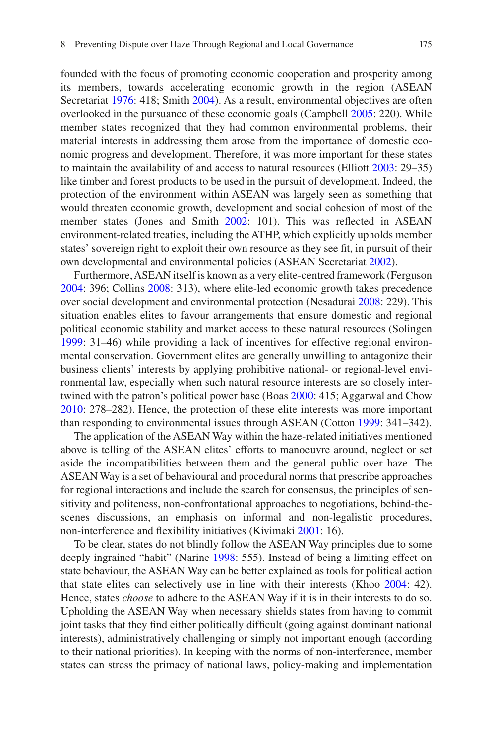founded with the focus of promoting economic cooperation and prosperity among its members, towards accelerating economic growth in the region (ASEAN Secretariat [1976](#page-19-12): 418; Smith [2004](#page-23-15)). As a result, environmental objectives are often overlooked in the pursuance of these economic goals (Campbell [2005:](#page-20-15) 220). While member states recognized that they had common environmental problems, their material interests in addressing them arose from the importance of domestic economic progress and development. Therefore, it was more important for these states to maintain the availability of and access to natural resources (Elliott [2003:](#page-20-16) 29–35) like timber and forest products to be used in the pursuit of development. Indeed, the protection of the environment within ASEAN was largely seen as something that would threaten economic growth, development and social cohesion of most of the member states (Jones and Smith [2002:](#page-21-13) 101). This was reflected in ASEAN environment-related treaties, including the ATHP, which explicitly upholds member states' sovereign right to exploit their own resource as they see fit, in pursuit of their own developmental and environmental policies (ASEAN Secretariat [2002](#page-19-10)).

Furthermore, ASEAN itself is known as a very elite-centred framework (Ferguson [2004:](#page-21-14) 396; Collins [2008](#page-20-17): 313), where elite-led economic growth takes precedence over social development and environmental protection (Nesadurai [2008](#page-22-20): 229). This situation enables elites to favour arrangements that ensure domestic and regional political economic stability and market access to these natural resources (Solingen [1999:](#page-23-16) 31–46) while providing a lack of incentives for effective regional environmental conservation. Government elites are generally unwilling to antagonize their business clients' interests by applying prohibitive national- or regional-level environmental law, especially when such natural resource interests are so closely intertwined with the patron's political power base (Boas [2000](#page-19-13): 415; Aggarwal and Chow [2010:](#page-19-14) 278–282). Hence, the protection of these elite interests was more important than responding to environmental issues through ASEAN (Cotton [1999](#page-20-18): 341–342).

The application of the ASEAN Way within the haze-related initiatives mentioned above is telling of the ASEAN elites' efforts to manoeuvre around, neglect or set aside the incompatibilities between them and the general public over haze. The ASEAN Way is a set of behavioural and procedural norms that prescribe approaches for regional interactions and include the search for consensus, the principles of sensitivity and politeness, non-confrontational approaches to negotiations, behind-thescenes discussions, an emphasis on informal and non-legalistic procedures, non-interference and flexibility initiatives (Kivimaki [2001:](#page-21-15) 16).

To be clear, states do not blindly follow the ASEAN Way principles due to some deeply ingrained "habit" (Narine [1998:](#page-22-21) 555). Instead of being a limiting effect on state behaviour, the ASEAN Way can be better explained as tools for political action that state elites can selectively use in line with their interests (Khoo [2004:](#page-21-16) 42). Hence, states *choose* to adhere to the ASEAN Way if it is in their interests to do so. Upholding the ASEAN Way when necessary shields states from having to commit joint tasks that they find either politically difficult (going against dominant national interests), administratively challenging or simply not important enough (according to their national priorities). In keeping with the norms of non-interference, member states can stress the primacy of national laws, policy-making and implementation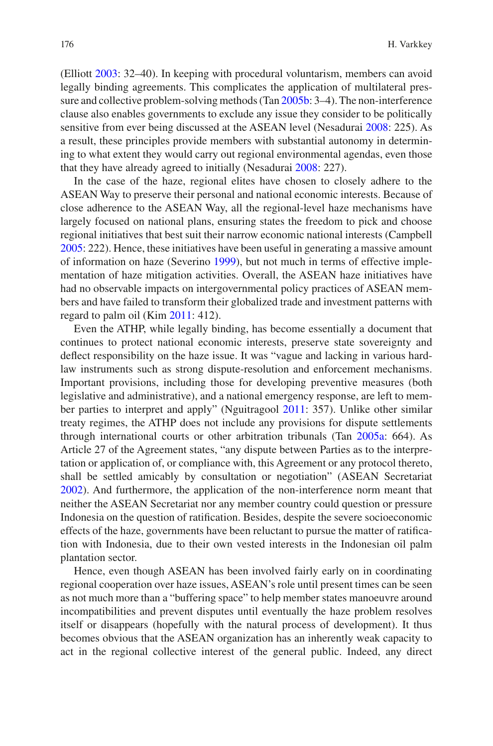(Elliott [2003:](#page-20-16) 32–40). In keeping with procedural voluntarism, members can avoid legally binding agreements. This complicates the application of multilateral pressure and collective problem-solving methods (Tan [2005b:](#page-23-17) 3–4). The non-interference clause also enables governments to exclude any issue they consider to be politically sensitive from ever being discussed at the ASEAN level (Nesadurai [2008](#page-22-20): 225). As a result, these principles provide members with substantial autonomy in determining to what extent they would carry out regional environmental agendas, even those that they have already agreed to initially (Nesadurai [2008](#page-22-20): 227).

In the case of the haze, regional elites have chosen to closely adhere to the ASEAN Way to preserve their personal and national economic interests. Because of close adherence to the ASEAN Way, all the regional-level haze mechanisms have largely focused on national plans, ensuring states the freedom to pick and choose regional initiatives that best suit their narrow economic national interests (Campbell [2005:](#page-20-15) 222). Hence, these initiatives have been useful in generating a massive amount of information on haze (Severino [1999](#page-23-18)), but not much in terms of effective implementation of haze mitigation activities. Overall, the ASEAN haze initiatives have had no observable impacts on intergovernmental policy practices of ASEAN members and have failed to transform their globalized trade and investment patterns with regard to palm oil (Kim [2011](#page-21-17): 412).

Even the ATHP, while legally binding, has become essentially a document that continues to protect national economic interests, preserve state sovereignty and deflect responsibility on the haze issue. It was "vague and lacking in various hardlaw instruments such as strong dispute-resolution and enforcement mechanisms. Important provisions, including those for developing preventive measures (both legislative and administrative), and a national emergency response, are left to member parties to interpret and apply" (Nguitragool [2011](#page-22-22): 357). Unlike other similar treaty regimes, the ATHP does not include any provisions for dispute settlements through international courts or other arbitration tribunals (Tan [2005a:](#page-23-19) 664). As Article 27 of the Agreement states, "any dispute between Parties as to the interpretation or application of, or compliance with, this Agreement or any protocol thereto, shall be settled amicably by consultation or negotiation" (ASEAN Secretariat [2002\)](#page-19-10). And furthermore, the application of the non-interference norm meant that neither the ASEAN Secretariat nor any member country could question or pressure Indonesia on the question of ratification. Besides, despite the severe socioeconomic effects of the haze, governments have been reluctant to pursue the matter of ratification with Indonesia, due to their own vested interests in the Indonesian oil palm plantation sector.

Hence, even though ASEAN has been involved fairly early on in coordinating regional cooperation over haze issues, ASEAN's role until present times can be seen as not much more than a "buffering space" to help member states manoeuvre around incompatibilities and prevent disputes until eventually the haze problem resolves itself or disappears (hopefully with the natural process of development). It thus becomes obvious that the ASEAN organization has an inherently weak capacity to act in the regional collective interest of the general public. Indeed, any direct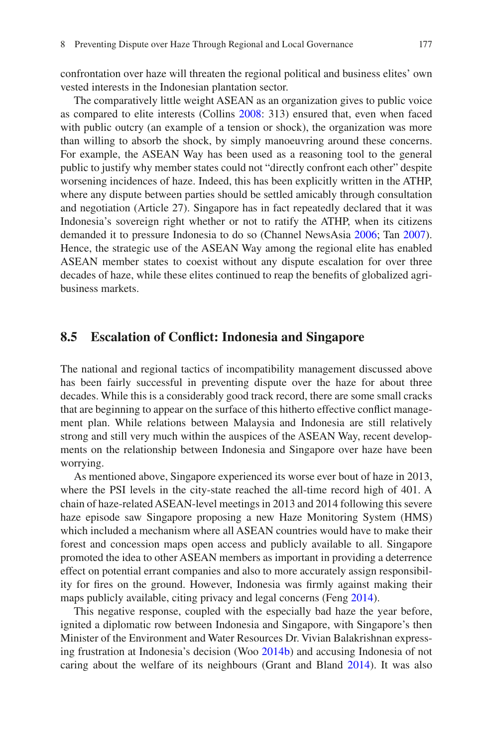confrontation over haze will threaten the regional political and business elites' own vested interests in the Indonesian plantation sector.

The comparatively little weight ASEAN as an organization gives to public voice as compared to elite interests (Collins [2008](#page-20-17): 313) ensured that, even when faced with public outcry (an example of a tension or shock), the organization was more than willing to absorb the shock, by simply manoeuvring around these concerns. For example, the ASEAN Way has been used as a reasoning tool to the general public to justify why member states could not "directly confront each other" despite worsening incidences of haze. Indeed, this has been explicitly written in the ATHP, where any dispute between parties should be settled amicably through consultation and negotiation (Article 27). Singapore has in fact repeatedly declared that it was Indonesia's sovereign right whether or not to ratify the ATHP, when its citizens demanded it to pressure Indonesia to do so (Channel NewsAsia [2006](#page-20-19); Tan [2007\)](#page-23-20). Hence, the strategic use of the ASEAN Way among the regional elite has enabled ASEAN member states to coexist without any dispute escalation for over three decades of haze, while these elites continued to reap the benefits of globalized agribusiness markets.

#### **8.5 Escalation of Conflict: Indonesia and Singapore**

The national and regional tactics of incompatibility management discussed above has been fairly successful in preventing dispute over the haze for about three decades. While this is a considerably good track record, there are some small cracks that are beginning to appear on the surface of this hitherto effective conflict management plan. While relations between Malaysia and Indonesia are still relatively strong and still very much within the auspices of the ASEAN Way, recent developments on the relationship between Indonesia and Singapore over haze have been worrying.

As mentioned above, Singapore experienced its worse ever bout of haze in 2013, where the PSI levels in the city-state reached the all-time record high of 401. A chain of haze-related ASEAN-level meetings in 2013 and 2014 following this severe haze episode saw Singapore proposing a new Haze Monitoring System (HMS) which included a mechanism where all ASEAN countries would have to make their forest and concession maps open access and publicly available to all. Singapore promoted the idea to other ASEAN members as important in providing a deterrence effect on potential errant companies and also to more accurately assign responsibility for fires on the ground. However, Indonesia was firmly against making their maps publicly available, citing privacy and legal concerns (Feng [2014](#page-21-18)).

This negative response, coupled with the especially bad haze the year before, ignited a diplomatic row between Indonesia and Singapore, with Singapore's then Minister of the Environment and Water Resources Dr. Vivian Balakrishnan expressing frustration at Indonesia's decision (Woo [2014b](#page-24-5)) and accusing Indonesia of not caring about the welfare of its neighbours (Grant and Bland [2014\)](#page-21-19). It was also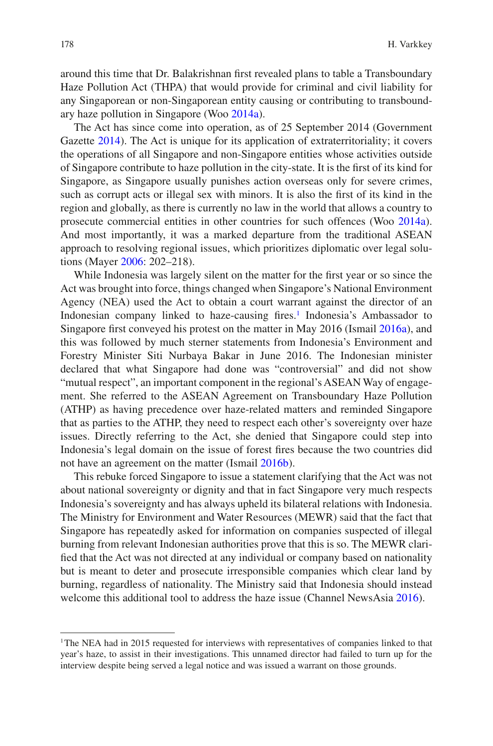around this time that Dr. Balakrishnan first revealed plans to table a Transboundary Haze Pollution Act (THPA) that would provide for criminal and civil liability for any Singaporean or non-Singaporean entity causing or contributing to transboundary haze pollution in Singapore (Woo [2014a\)](#page-24-6).

The Act has since come into operation, as of 25 September 2014 (Government Gazette [2014](#page-21-20)). The Act is unique for its application of extraterritoriality; it covers the operations of all Singapore and non-Singapore entities whose activities outside of Singapore contribute to haze pollution in the city-state. It is the first of its kind for Singapore, as Singapore usually punishes action overseas only for severe crimes, such as corrupt acts or illegal sex with minors. It is also the first of its kind in the region and globally, as there is currently no law in the world that allows a country to prosecute commercial entities in other countries for such offences (Woo [2014a\)](#page-24-6). And most importantly, it was a marked departure from the traditional ASEAN approach to resolving regional issues, which prioritizes diplomatic over legal solutions (Mayer [2006:](#page-22-1) 202–218).

While Indonesia was largely silent on the matter for the first year or so since the Act was brought into force, things changed when Singapore's National Environment Agency (NEA) used the Act to obtain a court warrant against the director of an Indonesian company linked to haze-causing fires.<sup>1</sup> Indonesia's Ambassador to Singapore first conveyed his protest on the matter in May 2016 (Ismail [2016a\)](#page-21-21), and this was followed by much sterner statements from Indonesia's Environment and Forestry Minister Siti Nurbaya Bakar in June 2016. The Indonesian minister declared that what Singapore had done was "controversial" and did not show "mutual respect", an important component in the regional's ASEAN Way of engagement. She referred to the ASEAN Agreement on Transboundary Haze Pollution (ATHP) as having precedence over haze-related matters and reminded Singapore that as parties to the ATHP, they need to respect each other's sovereignty over haze issues. Directly referring to the Act, she denied that Singapore could step into Indonesia's legal domain on the issue of forest fires because the two countries did not have an agreement on the matter (Ismail [2016b](#page-21-22)).

This rebuke forced Singapore to issue a statement clarifying that the Act was not about national sovereignty or dignity and that in fact Singapore very much respects Indonesia's sovereignty and has always upheld its bilateral relations with Indonesia. The Ministry for Environment and Water Resources (MEWR) said that the fact that Singapore has repeatedly asked for information on companies suspected of illegal burning from relevant Indonesian authorities prove that this is so. The MEWR clarified that the Act was not directed at any individual or company based on nationality but is meant to deter and prosecute irresponsible companies which clear land by burning, regardless of nationality. The Ministry said that Indonesia should instead welcome this additional tool to address the haze issue (Channel NewsAsia [2016](#page-20-20)).

<span id="page-13-0"></span><sup>&</sup>lt;sup>1</sup>The NEA had in 2015 requested for interviews with representatives of companies linked to that year's haze, to assist in their investigations. This unnamed director had failed to turn up for the interview despite being served a legal notice and was issued a warrant on those grounds.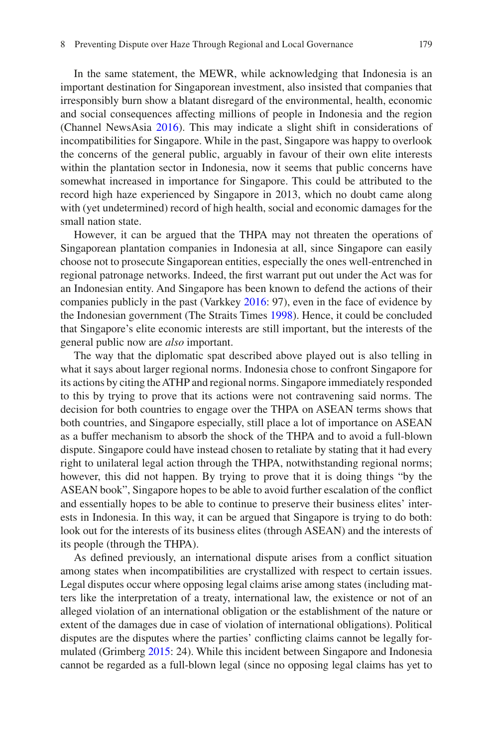In the same statement, the MEWR, while acknowledging that Indonesia is an important destination for Singaporean investment, also insisted that companies that irresponsibly burn show a blatant disregard of the environmental, health, economic and social consequences affecting millions of people in Indonesia and the region (Channel NewsAsia [2016](#page-20-20)). This may indicate a slight shift in considerations of incompatibilities for Singapore. While in the past, Singapore was happy to overlook the concerns of the general public, arguably in favour of their own elite interests within the plantation sector in Indonesia, now it seems that public concerns have somewhat increased in importance for Singapore. This could be attributed to the record high haze experienced by Singapore in 2013, which no doubt came along with (yet undetermined) record of high health, social and economic damages for the small nation state.

However, it can be argued that the THPA may not threaten the operations of Singaporean plantation companies in Indonesia at all, since Singapore can easily choose not to prosecute Singaporean entities, especially the ones well-entrenched in regional patronage networks. Indeed, the first warrant put out under the Act was for an Indonesian entity. And Singapore has been known to defend the actions of their companies publicly in the past (Varkkey [2016](#page-23-7): 97), even in the face of evidence by the Indonesian government (The Straits Times [1998](#page-23-21)). Hence, it could be concluded that Singapore's elite economic interests are still important, but the interests of the general public now are *also* important.

The way that the diplomatic spat described above played out is also telling in what it says about larger regional norms. Indonesia chose to confront Singapore for its actions by citing the ATHP and regional norms. Singapore immediately responded to this by trying to prove that its actions were not contravening said norms. The decision for both countries to engage over the THPA on ASEAN terms shows that both countries, and Singapore especially, still place a lot of importance on ASEAN as a buffer mechanism to absorb the shock of the THPA and to avoid a full-blown dispute. Singapore could have instead chosen to retaliate by stating that it had every right to unilateral legal action through the THPA, notwithstanding regional norms; however, this did not happen. By trying to prove that it is doing things "by the ASEAN book", Singapore hopes to be able to avoid further escalation of the conflict and essentially hopes to be able to continue to preserve their business elites' interests in Indonesia. In this way, it can be argued that Singapore is trying to do both: look out for the interests of its business elites (through ASEAN) and the interests of its people (through the THPA).

As defined previously, an international dispute arises from a conflict situation among states when incompatibilities are crystallized with respect to certain issues. Legal disputes occur where opposing legal claims arise among states (including matters like the interpretation of a treaty, international law, the existence or not of an alleged violation of an international obligation or the establishment of the nature or extent of the damages due in case of violation of international obligations). Political disputes are the disputes where the parties' conflicting claims cannot be legally formulated (Grimberg [2015:](#page-21-10) 24). While this incident between Singapore and Indonesia cannot be regarded as a full-blown legal (since no opposing legal claims has yet to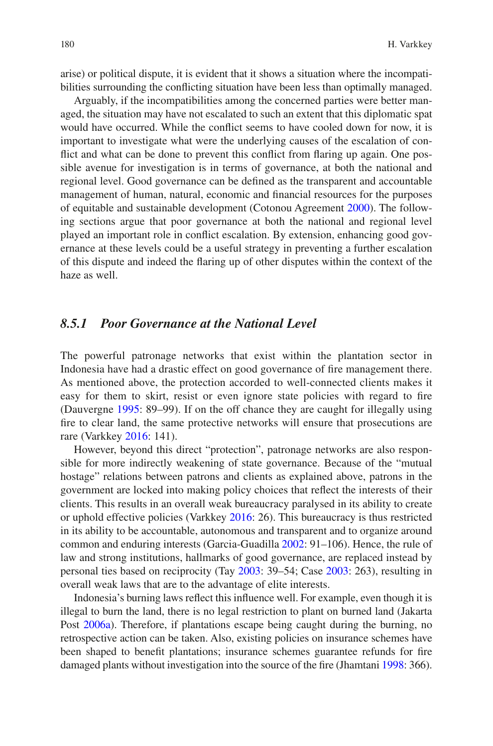arise) or political dispute, it is evident that it shows a situation where the incompatibilities surrounding the conflicting situation have been less than optimally managed.

Arguably, if the incompatibilities among the concerned parties were better managed, the situation may have not escalated to such an extent that this diplomatic spat would have occurred. While the conflict seems to have cooled down for now, it is important to investigate what were the underlying causes of the escalation of conflict and what can be done to prevent this conflict from flaring up again. One possible avenue for investigation is in terms of governance, at both the national and regional level. Good governance can be defined as the transparent and accountable management of human, natural, economic and financial resources for the purposes of equitable and sustainable development (Cotonou Agreement [2000\)](#page-20-21). The following sections argue that poor governance at both the national and regional level played an important role in conflict escalation. By extension, enhancing good governance at these levels could be a useful strategy in preventing a further escalation of this dispute and indeed the flaring up of other disputes within the context of the haze as well.

#### *8.5.1 Poor Governance at the National Level*

The powerful patronage networks that exist within the plantation sector in Indonesia have had a drastic effect on good governance of fire management there. As mentioned above, the protection accorded to well-connected clients makes it easy for them to skirt, resist or even ignore state policies with regard to fire (Dauvergne [1995](#page-20-7): 89–99). If on the off chance they are caught for illegally using fire to clear land, the same protective networks will ensure that prosecutions are rare (Varkkey [2016:](#page-23-7) 141).

However, beyond this direct "protection", patronage networks are also responsible for more indirectly weakening of state governance. Because of the "mutual hostage" relations between patrons and clients as explained above, patrons in the government are locked into making policy choices that reflect the interests of their clients. This results in an overall weak bureaucracy paralysed in its ability to create or uphold effective policies (Varkkey [2016:](#page-23-7) 26). This bureaucracy is thus restricted in its ability to be accountable, autonomous and transparent and to organize around common and enduring interests (Garcia-Guadilla [2002](#page-21-23): 91–106). Hence, the rule of law and strong institutions, hallmarks of good governance, are replaced instead by personal ties based on reciprocity (Tay [2003](#page-23-8): 39–54; Case [2003:](#page-20-22) 263), resulting in overall weak laws that are to the advantage of elite interests.

Indonesia's burning laws reflect this influence well. For example, even though it is illegal to burn the land, there is no legal restriction to plant on burned land (Jakarta Post [2006a\)](#page-21-24). Therefore, if plantations escape being caught during the burning, no retrospective action can be taken. Also, existing policies on insurance schemes have been shaped to benefit plantations; insurance schemes guarantee refunds for fire damaged plants without investigation into the source of the fire (Jhamtani [1998](#page-21-25): 366).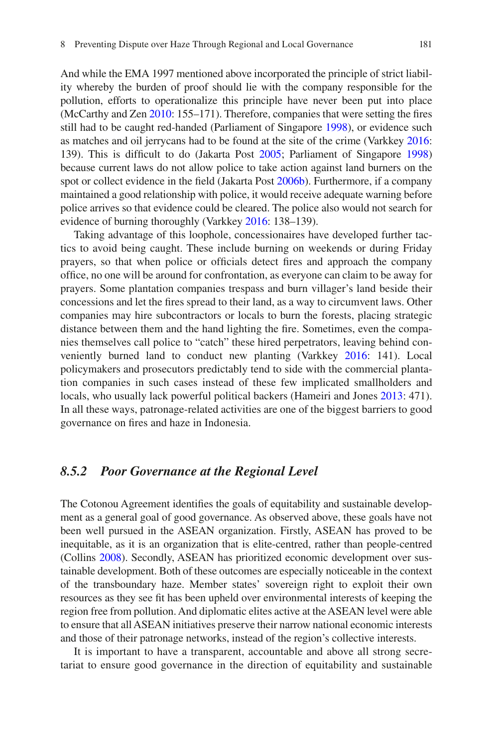And while the EMA 1997 mentioned above incorporated the principle of strict liability whereby the burden of proof should lie with the company responsible for the pollution, efforts to operationalize this principle have never been put into place (McCarthy and Zen [2010:](#page-22-6) 155–171). Therefore, companies that were setting the fires still had to be caught red-handed (Parliament of Singapore [1998](#page-22-23)), or evidence such as matches and oil jerrycans had to be found at the site of the crime (Varkkey [2016:](#page-23-7) 139). This is difficult to do (Jakarta Post [2005;](#page-21-26) Parliament of Singapore [1998](#page-22-23)) because current laws do not allow police to take action against land burners on the spot or collect evidence in the field (Jakarta Post [2006b\)](#page-21-27). Furthermore, if a company maintained a good relationship with police, it would receive adequate warning before police arrives so that evidence could be cleared. The police also would not search for evidence of burning thoroughly (Varkkey [2016:](#page-23-7) 138–139).

Taking advantage of this loophole, concessionaires have developed further tactics to avoid being caught. These include burning on weekends or during Friday prayers, so that when police or officials detect fires and approach the company office, no one will be around for confrontation, as everyone can claim to be away for prayers. Some plantation companies trespass and burn villager's land beside their concessions and let the fires spread to their land, as a way to circumvent laws. Other companies may hire subcontractors or locals to burn the forests, placing strategic distance between them and the hand lighting the fire. Sometimes, even the companies themselves call police to "catch" these hired perpetrators, leaving behind conveniently burned land to conduct new planting (Varkkey [2016](#page-23-7): 141). Local policymakers and prosecutors predictably tend to side with the commercial plantation companies in such cases instead of these few implicated smallholders and locals, who usually lack powerful political backers (Hameiri and Jones [2013](#page-21-28): 471). In all these ways, patronage-related activities are one of the biggest barriers to good governance on fires and haze in Indonesia.

#### *8.5.2 Poor Governance at the Regional Level*

The Cotonou Agreement identifies the goals of equitability and sustainable development as a general goal of good governance. As observed above, these goals have not been well pursued in the ASEAN organization. Firstly, ASEAN has proved to be inequitable, as it is an organization that is elite-centred, rather than people-centred (Collins [2008](#page-20-17)). Secondly, ASEAN has prioritized economic development over sustainable development. Both of these outcomes are especially noticeable in the context of the transboundary haze. Member states' sovereign right to exploit their own resources as they see fit has been upheld over environmental interests of keeping the region free from pollution. And diplomatic elites active at the ASEAN level were able to ensure that all ASEAN initiatives preserve their narrow national economic interests and those of their patronage networks, instead of the region's collective interests.

It is important to have a transparent, accountable and above all strong secretariat to ensure good governance in the direction of equitability and sustainable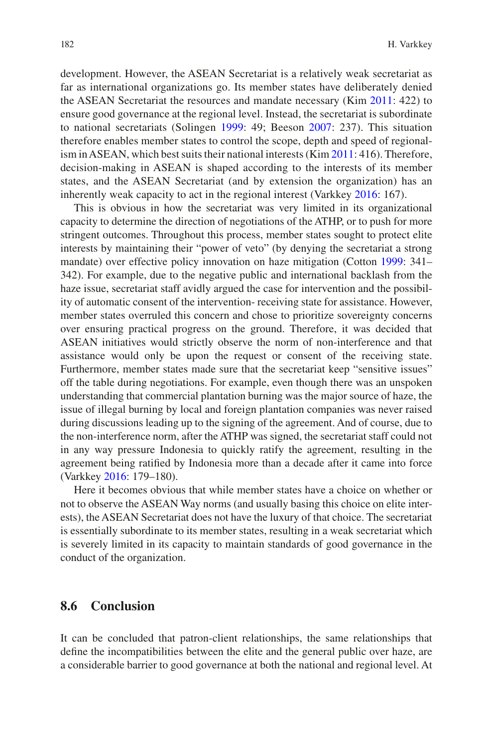development. However, the ASEAN Secretariat is a relatively weak secretariat as far as international organizations go. Its member states have deliberately denied the ASEAN Secretariat the resources and mandate necessary (Kim [2011](#page-21-17): 422) to ensure good governance at the regional level. Instead, the secretariat is subordinate to national secretariats (Solingen [1999](#page-23-16): 49; Beeson [2007:](#page-19-15) 237). This situation therefore enables member states to control the scope, depth and speed of regionalism in ASEAN, which best suits their national interests (Kim [2011:](#page-21-17) 416). Therefore, decision-making in ASEAN is shaped according to the interests of its member states, and the ASEAN Secretariat (and by extension the organization) has an inherently weak capacity to act in the regional interest (Varkkey [2016:](#page-23-7) 167).

This is obvious in how the secretariat was very limited in its organizational capacity to determine the direction of negotiations of the ATHP, or to push for more stringent outcomes. Throughout this process, member states sought to protect elite interests by maintaining their "power of veto" (by denying the secretariat a strong mandate) over effective policy innovation on haze mitigation (Cotton [1999](#page-20-18): 341– 342). For example, due to the negative public and international backlash from the haze issue, secretariat staff avidly argued the case for intervention and the possibility of automatic consent of the intervention- receiving state for assistance. However, member states overruled this concern and chose to prioritize sovereignty concerns over ensuring practical progress on the ground. Therefore, it was decided that ASEAN initiatives would strictly observe the norm of non-interference and that assistance would only be upon the request or consent of the receiving state. Furthermore, member states made sure that the secretariat keep "sensitive issues" off the table during negotiations. For example, even though there was an unspoken understanding that commercial plantation burning was the major source of haze, the issue of illegal burning by local and foreign plantation companies was never raised during discussions leading up to the signing of the agreement. And of course, due to the non-interference norm, after the ATHP was signed, the secretariat staff could not in any way pressure Indonesia to quickly ratify the agreement, resulting in the agreement being ratified by Indonesia more than a decade after it came into force (Varkkey [2016:](#page-23-7) 179–180).

Here it becomes obvious that while member states have a choice on whether or not to observe the ASEAN Way norms (and usually basing this choice on elite interests), the ASEAN Secretariat does not have the luxury of that choice. The secretariat is essentially subordinate to its member states, resulting in a weak secretariat which is severely limited in its capacity to maintain standards of good governance in the conduct of the organization.

#### **8.6 Conclusion**

It can be concluded that patron-client relationships, the same relationships that define the incompatibilities between the elite and the general public over haze, are a considerable barrier to good governance at both the national and regional level. At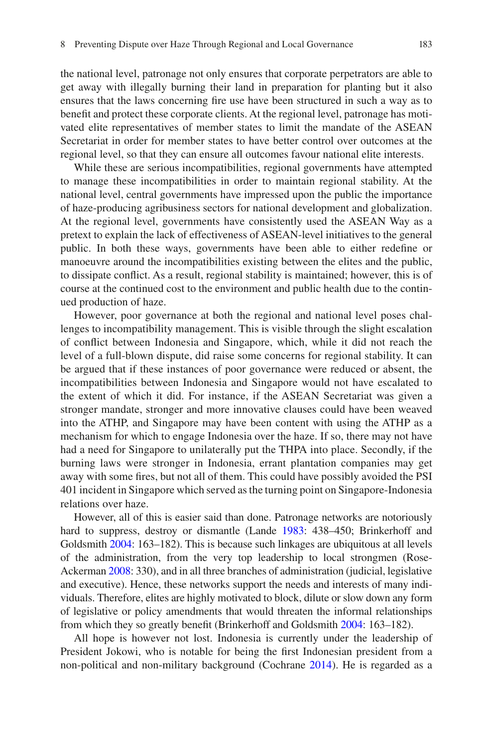the national level, patronage not only ensures that corporate perpetrators are able to get away with illegally burning their land in preparation for planting but it also ensures that the laws concerning fire use have been structured in such a way as to benefit and protect these corporate clients. At the regional level, patronage has motivated elite representatives of member states to limit the mandate of the ASEAN Secretariat in order for member states to have better control over outcomes at the regional level, so that they can ensure all outcomes favour national elite interests.

While these are serious incompatibilities, regional governments have attempted to manage these incompatibilities in order to maintain regional stability. At the national level, central governments have impressed upon the public the importance of haze-producing agribusiness sectors for national development and globalization. At the regional level, governments have consistently used the ASEAN Way as a pretext to explain the lack of effectiveness of ASEAN-level initiatives to the general public. In both these ways, governments have been able to either redefine or manoeuvre around the incompatibilities existing between the elites and the public, to dissipate conflict. As a result, regional stability is maintained; however, this is of course at the continued cost to the environment and public health due to the continued production of haze.

However, poor governance at both the regional and national level poses challenges to incompatibility management. This is visible through the slight escalation of conflict between Indonesia and Singapore, which, while it did not reach the level of a full-blown dispute, did raise some concerns for regional stability. It can be argued that if these instances of poor governance were reduced or absent, the incompatibilities between Indonesia and Singapore would not have escalated to the extent of which it did. For instance, if the ASEAN Secretariat was given a stronger mandate, stronger and more innovative clauses could have been weaved into the ATHP, and Singapore may have been content with using the ATHP as a mechanism for which to engage Indonesia over the haze. If so, there may not have had a need for Singapore to unilaterally put the THPA into place. Secondly, if the burning laws were stronger in Indonesia, errant plantation companies may get away with some fires, but not all of them. This could have possibly avoided the PSI 401 incident in Singapore which served as the turning point on Singapore-Indonesia relations over haze.

However, all of this is easier said than done. Patronage networks are notoriously hard to suppress, destroy or dismantle (Lande [1983](#page-21-29): 438–450; Brinkerhoff and Goldsmith [2004:](#page-19-2) 163–182). This is because such linkages are ubiquitous at all levels of the administration, from the very top leadership to local strongmen (Rose-Ackerman [2008:](#page-23-22) 330), and in all three branches of administration (judicial, legislative and executive). Hence, these networks support the needs and interests of many individuals. Therefore, elites are highly motivated to block, dilute or slow down any form of legislative or policy amendments that would threaten the informal relationships from which they so greatly benefit (Brinkerhoff and Goldsmith [2004](#page-19-2): 163–182).

All hope is however not lost. Indonesia is currently under the leadership of President Jokowi, who is notable for being the first Indonesian president from a non-political and non-military background (Cochrane [2014](#page-20-23)). He is regarded as a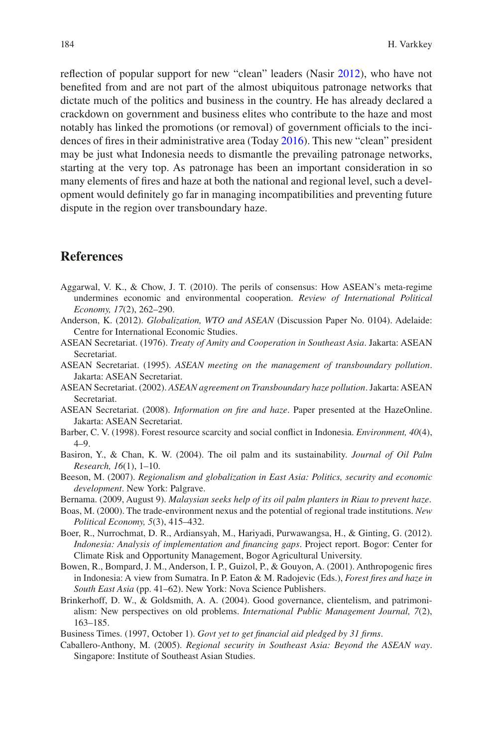reflection of popular support for new "clean" leaders (Nasir [2012](#page-22-24)), who have not benefited from and are not part of the almost ubiquitous patronage networks that dictate much of the politics and business in the country. He has already declared a crackdown on government and business elites who contribute to the haze and most notably has linked the promotions (or removal) of government officials to the incidences of fires in their administrative area (Today [2016\)](#page-23-23). This new "clean" president may be just what Indonesia needs to dismantle the prevailing patronage networks, starting at the very top. As patronage has been an important consideration in so many elements of fires and haze at both the national and regional level, such a development would definitely go far in managing incompatibilities and preventing future dispute in the region over transboundary haze.

#### **References**

- <span id="page-19-14"></span>Aggarwal, V. K., & Chow, J. T. (2010). The perils of consensus: How ASEAN's meta-regime undermines economic and environmental cooperation. *Review of International Political Economy, 17*(2), 262–290.
- <span id="page-19-1"></span>Anderson, K. (2012). *Globalization, WTO and ASEAN* (Discussion Paper No. 0104). Adelaide: Centre for International Economic Studies.
- <span id="page-19-12"></span>ASEAN Secretariat. (1976). *Treaty of Amity and Cooperation in Southeast Asia*. Jakarta: ASEAN Secretariat.
- <span id="page-19-9"></span>ASEAN Secretariat. (1995). *ASEAN meeting on the management of transboundary pollution*. Jakarta: ASEAN Secretariat.
- <span id="page-19-10"></span>ASEAN Secretariat. (2002). *ASEAN agreement on Transboundary haze pollution*. Jakarta: ASEAN Secretariat.
- <span id="page-19-0"></span>ASEAN Secretariat. (2008). *Information on fire and haze*. Paper presented at the HazeOnline. Jakarta: ASEAN Secretariat.
- <span id="page-19-5"></span>Barber, C. V. (1998). Forest resource scarcity and social conflict in Indonesia. *Environment, 40*(4), 4–9.
- <span id="page-19-6"></span>Basiron, Y., & Chan, K. W. (2004). The oil palm and its sustainability. *Journal of Oil Palm Research, 16*(1), 1–10.
- <span id="page-19-15"></span>Beeson, M. (2007). *Regionalism and globalization in East Asia: Politics, security and economic development*. New York: Palgrave.
- <span id="page-19-7"></span>Bernama. (2009, August 9). *Malaysian seeks help of its oil palm planters in Riau to prevent haze*.
- <span id="page-19-13"></span>Boas, M. (2000). The trade-environment nexus and the potential of regional trade institutions. *New Political Economy, 5*(3), 415–432.
- <span id="page-19-4"></span>Boer, R., Nurrochmat, D. R., Ardiansyah, M., Hariyadi, Purwawangsa, H., & Ginting, G. (2012). *Indonesia: Analysis of implementation and financing gaps*. Project report. Bogor: Center for Climate Risk and Opportunity Management, Bogor Agricultural University.
- <span id="page-19-3"></span>Bowen, R., Bompard, J. M., Anderson, I. P., Guizol, P., & Gouyon, A. (2001). Anthropogenic fires in Indonesia: A view from Sumatra. In P. Eaton & M. Radojevic (Eds.), *Forest fires and haze in South East Asia* (pp. 41–62). New York: Nova Science Publishers.
- <span id="page-19-2"></span>Brinkerhoff, D. W., & Goldsmith, A. A. (2004). Good governance, clientelism, and patrimonialism: New perspectives on old problems. *International Public Management Journal, 7*(2), 163–185.

<span id="page-19-8"></span>Business Times. (1997, October 1). *Govt yet to get financial aid pledged by 31 firms*.

<span id="page-19-11"></span>Caballero-Anthony, M. (2005). *Regional security in Southeast Asia: Beyond the ASEAN way*. Singapore: Institute of Southeast Asian Studies.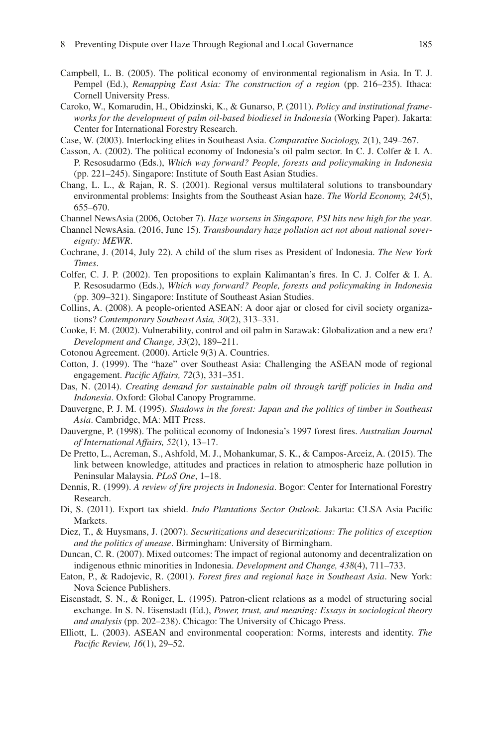- <span id="page-20-15"></span>Campbell, L. B. (2005). The political economy of environmental regionalism in Asia. In T. J. Pempel (Ed.), *Remapping East Asia: The construction of a region* (pp. 216–235). Ithaca: Cornell University Press.
- <span id="page-20-10"></span>Caroko, W., Komarudin, H., Obidzinski, K., & Gunarso, P. (2011). *Policy and institutional frameworks for the development of palm oil-based biodiesel in Indonesia* (Working Paper). Jakarta: Center for International Forestry Research.
- <span id="page-20-22"></span>Case, W. (2003). Interlocking elites in Southeast Asia. *Comparative Sociology, 2*(1), 249–267.
- <span id="page-20-5"></span>Casson, A. (2002). The political economy of Indonesia's oil palm sector. In C. J. Colfer & I. A. P. Resosudarmo (Eds.), *Which way forward? People, forests and policymaking in Indonesia* (pp. 221–245). Singapore: Institute of South East Asian Studies.
- <span id="page-20-11"></span>Chang, L. L., & Rajan, R. S. (2001). Regional versus multilateral solutions to transboundary environmental problems: Insights from the Southeast Asian haze. *The World Economy, 24*(5), 655–670.
- <span id="page-20-19"></span>Channel NewsAsia (2006, October 7). *Haze worsens in Singapore, PSI hits new high for the year*.
- <span id="page-20-20"></span>Channel NewsAsia. (2016, June 15). *Transboundary haze pollution act not about national sovereignty: MEWR*.
- <span id="page-20-23"></span>Cochrane, J. (2014, July 22). A child of the slum rises as President of Indonesia. *The New York Times*.
- <span id="page-20-2"></span>Colfer, C. J. P. (2002). Ten propositions to explain Kalimantan's fires. In C. J. Colfer & I. A. P. Resosudarmo (Eds.), *Which way forward? People, forests and policymaking in Indonesia* (pp. 309–321). Singapore: Institute of Southeast Asian Studies.
- <span id="page-20-17"></span>Collins, A. (2008). A people-oriented ASEAN: A door ajar or closed for civil society organizations? *Contemporary Southeast Asia, 30*(2), 313–331.
- <span id="page-20-13"></span>Cooke, F. M. (2002). Vulnerability, control and oil palm in Sarawak: Globalization and a new era? *Development and Change, 33*(2), 189–211.
- <span id="page-20-21"></span>Cotonou Agreement. (2000). Article 9(3) A. Countries.
- <span id="page-20-18"></span>Cotton, J. (1999). The "haze" over Southeast Asia: Challenging the ASEAN mode of regional engagement. *Pacific Affairs, 72*(3), 331–351.
- <span id="page-20-4"></span>Das, N. (2014). *Creating demand for sustainable palm oil through tariff policies in India and Indonesia*. Oxford: Global Canopy Programme.
- <span id="page-20-7"></span>Dauvergne, P. J. M. (1995). *Shadows in the forest: Japan and the politics of timber in Southeast Asia*. Cambridge, MA: MIT Press.
- <span id="page-20-3"></span>Dauvergne, P. (1998). The political economy of Indonesia's 1997 forest fires. *Australian Journal of International Affairs, 52*(1), 13–17.
- <span id="page-20-14"></span>De Pretto, L., Acreman, S., Ashfold, M. J., Mohankumar, S. K., & Campos-Arceiz, A. (2015). The link between knowledge, attitudes and practices in relation to atmospheric haze pollution in Peninsular Malaysia. *PLoS One*, 1–18.
- <span id="page-20-1"></span>Dennis, R. (1999). *A review of fire projects in Indonesia*. Bogor: Center for International Forestry Research.
- <span id="page-20-12"></span>Di, S. (2011). Export tax shield. *Indo Plantations Sector Outlook*. Jakarta: CLSA Asia Pacific Markets.
- <span id="page-20-6"></span>Diez, T., & Huysmans, J. (2007). *Securitizations and desecuritizations: The politics of exception and the politics of unease*. Birmingham: University of Birmingham.
- <span id="page-20-8"></span>Duncan, C. R. (2007). Mixed outcomes: The impact of regional autonomy and decentralization on indigenous ethnic minorities in Indonesia. *Development and Change, 438*(4), 711–733.
- <span id="page-20-0"></span>Eaton, P., & Radojevic, R. (2001). *Forest fires and regional haze in Southeast Asia*. New York: Nova Science Publishers.
- <span id="page-20-9"></span>Eisenstadt, S. N., & Roniger, L. (1995). Patron-client relations as a model of structuring social exchange. In S. N. Eisenstadt (Ed.), *Power, trust, and meaning: Essays in sociological theory and analysis* (pp. 202–238). Chicago: The University of Chicago Press.
- <span id="page-20-16"></span>Elliott, L. (2003). ASEAN and environmental cooperation: Norms, interests and identity. *The Pacific Review, 16*(1), 29–52.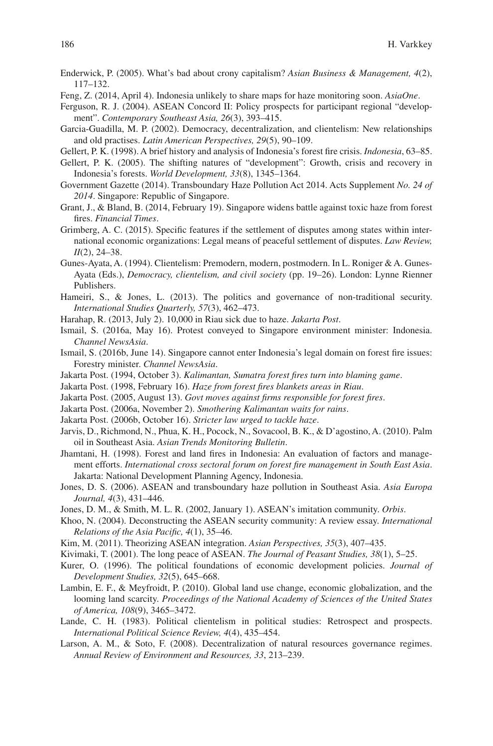- <span id="page-21-7"></span>Enderwick, P. (2005). What's bad about crony capitalism? *Asian Business & Management, 4*(2), 117–132.
- <span id="page-21-18"></span>Feng, Z. (2014, April 4). Indonesia unlikely to share maps for haze monitoring soon. *AsiaOne*.
- <span id="page-21-14"></span>Ferguson, R. J. (2004). ASEAN Concord II: Policy prospects for participant regional "development". *Contemporary Southeast Asia, 26*(3), 393–415.
- <span id="page-21-23"></span>Garcia-Guadilla, M. P. (2002). Democracy, decentralization, and clientelism: New relationships and old practises. *Latin American Perspectives, 29*(5), 90–109.
- <span id="page-21-2"></span>Gellert, P. K. (1998). A brief history and analysis of Indonesia's forest fire crisis. *Indonesia*, 63–85.
- <span id="page-21-11"></span>Gellert, P. K. (2005). The shifting natures of "development": Growth, crisis and recovery in Indonesia's forests. *World Development, 33*(8), 1345–1364.
- <span id="page-21-20"></span>Government Gazette (2014). Transboundary Haze Pollution Act 2014. Acts Supplement *No. 24 of 2014*. Singapore: Republic of Singapore.
- <span id="page-21-19"></span>Grant, J., & Bland, B. (2014, February 19). Singapore widens battle against toxic haze from forest fires. *Financial Times*.
- <span id="page-21-10"></span>Grimberg, A. C. (2015). Specific features if the settlement of disputes among states within international economic organizations: Legal means of peaceful settlement of disputes. *Law Review, II*(2), 24–38.
- <span id="page-21-6"></span>Gunes-Ayata, A. (1994). Clientelism: Premodern, modern, postmodern. In L. Roniger & A. Gunes-Ayata (Eds.), *Democracy, clientelism, and civil society* (pp. 19–26). London: Lynne Rienner Publishers.
- <span id="page-21-28"></span>Hameiri, S., & Jones, L. (2013). The politics and governance of non-traditional security. *International Studies Quarterly, 57*(3), 462–473.
- <span id="page-21-8"></span>Harahap, R. (2013, July 2). 10,000 in Riau sick due to haze. *Jakarta Post*.
- <span id="page-21-21"></span>Ismail, S. (2016a, May 16). Protest conveyed to Singapore environment minister: Indonesia. *Channel NewsAsia*.
- <span id="page-21-22"></span>Ismail, S. (2016b, June 14). Singapore cannot enter Indonesia's legal domain on forest fire issues: Forestry minister. *Channel NewsAsia*.
- <span id="page-21-0"></span>Jakarta Post. (1994, October 3). *Kalimantan, Sumatra forest fires turn into blaming game*.
- <span id="page-21-1"></span>Jakarta Post. (1998, February 16). *Haze from forest fires blankets areas in Riau*.
- <span id="page-21-26"></span>Jakarta Post. (2005, August 13). *Govt moves against firms responsible for forest fires*.
- <span id="page-21-24"></span>Jakarta Post. (2006a, November 2). *Smothering Kalimantan waits for rains*.
- <span id="page-21-27"></span>Jakarta Post. (2006b, October 16). *Stricter law urged to tackle haze*.
- <span id="page-21-12"></span>Jarvis, D., Richmond, N., Phua, K. H., Pocock, N., Sovacool, B. K., & D'agostino, A. (2010). Palm oil in Southeast Asia. *Asian Trends Monitoring Bulletin*.
- <span id="page-21-25"></span>Jhamtani, H. (1998). Forest and land fires in Indonesia: An evaluation of factors and management efforts. *International cross sectoral forum on forest fire management in South East Asia*. Jakarta: National Development Planning Agency, Indonesia.
- <span id="page-21-4"></span>Jones, D. S. (2006). ASEAN and transboundary haze pollution in Southeast Asia. *Asia Europa Journal, 4*(3), 431–446.
- <span id="page-21-13"></span>Jones, D. M., & Smith, M. L. R. (2002, January 1). ASEAN's imitation community. *Orbis*.
- <span id="page-21-16"></span>Khoo, N. (2004). Deconstructing the ASEAN security community: A review essay. *International Relations of the Asia Pacific, 4*(1), 35–46.
- <span id="page-21-17"></span>Kim, M. (2011). Theorizing ASEAN integration. *Asian Perspectives, 35*(3), 407–435.
- <span id="page-21-15"></span>Kivimaki, T. (2001). The long peace of ASEAN. *The Journal of Peasant Studies, 38*(1), 5–25.
- <span id="page-21-5"></span>Kurer, O. (1996). The political foundations of economic development policies. *Journal of Development Studies, 32*(5), 645–668.
- <span id="page-21-3"></span>Lambin, E. F., & Meyfroidt, P. (2010). Global land use change, economic globalization, and the looming land scarcity. *Proceedings of the National Academy of Sciences of the United States of America, 108*(9), 3465–3472.
- <span id="page-21-29"></span>Lande, C. H. (1983). Political clientelism in political studies: Retrospect and prospects. *International Political Science Review, 4*(4), 435–454.
- <span id="page-21-9"></span>Larson, A. M., & Soto, F. (2008). Decentralization of natural resources governance regimes. *Annual Review of Environment and Resources, 33*, 213–239.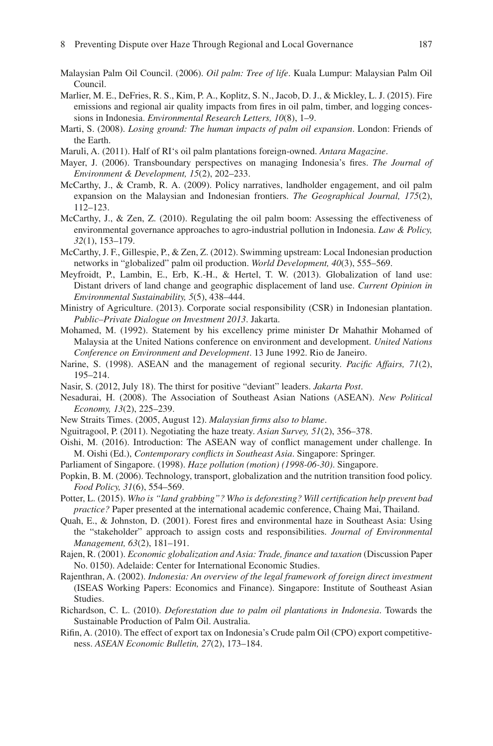- <span id="page-22-7"></span>Malaysian Palm Oil Council. (2006). *Oil palm: Tree of life*. Kuala Lumpur: Malaysian Palm Oil Council.
- <span id="page-22-12"></span>Marlier, M. E., DeFries, R. S., Kim, P. A., Koplitz, S. N., Jacob, D. J., & Mickley, L. J. (2015). Fire emissions and regional air quality impacts from fires in oil palm, timber, and logging concessions in Indonesia. *Environmental Research Letters, 10*(8), 1–9.
- <span id="page-22-16"></span>Marti, S. (2008). *Losing ground: The human impacts of palm oil expansion*. London: Friends of the Earth.
- <span id="page-22-10"></span>Maruli, A. (2011). Half of RI's oil palm plantations foreign-owned. *Antara Magazine*.
- <span id="page-22-1"></span>Mayer, J. (2006). Transboundary perspectives on managing Indonesia's fires. *The Journal of Environment & Development, 15*(2), 202–233.
- <span id="page-22-5"></span>McCarthy, J., & Cramb, R. A. (2009). Policy narratives, landholder engagement, and oil palm expansion on the Malaysian and Indonesian frontiers. *The Geographical Journal, 175*(2), 112–123.
- <span id="page-22-6"></span>McCarthy, J., & Zen, Z. (2010). Regulating the oil palm boom: Assessing the effectiveness of environmental governance approaches to agro-industrial pollution in Indonesia. *Law & Policy, 32*(1), 153–179.
- <span id="page-22-17"></span>McCarthy, J. F., Gillespie, P., & Zen, Z. (2012). Swimming upstream: Local Indonesian production networks in "globalized" palm oil production. *World Development, 40*(3), 555–569.
- <span id="page-22-11"></span>Meyfroidt, P., Lambin, E., Erb, K.-H., & Hertel, T. W. (2013). Globalization of land use: Distant drivers of land change and geographic displacement of land use. *Current Opinion in Environmental Sustainability, 5*(5), 438–444.
- <span id="page-22-15"></span>Ministry of Agriculture. (2013). Corporate social responsibility (CSR) in Indonesian plantation. *Public–Private Dialogue on Investment 2013*. Jakarta.
- <span id="page-22-18"></span>Mohamed, M. (1992). Statement by his excellency prime minister Dr Mahathir Mohamed of Malaysia at the United Nations conference on environment and development. *United Nations Conference on Environment and Development*. 13 June 1992. Rio de Janeiro.
- <span id="page-22-21"></span>Narine, S. (1998). ASEAN and the management of regional security. *Pacific Affairs, 71*(2), 195–214.
- <span id="page-22-24"></span>Nasir, S. (2012, July 18). The thirst for positive "deviant" leaders. *Jakarta Post*.
- <span id="page-22-20"></span>Nesadurai, H. (2008). The Association of Southeast Asian Nations (ASEAN). *New Political Economy, 13*(2), 225–239.
- <span id="page-22-19"></span>New Straits Times. (2005, August 12). *Malaysian firms also to blame*.
- <span id="page-22-22"></span>Nguitragool, P. (2011). Negotiating the haze treaty. *Asian Survey, 51*(2), 356–378.
- <span id="page-22-0"></span>Oishi, M. (2016). Introduction: The ASEAN way of conflict management under challenge. In M. Oishi (Ed.), *Contemporary conflicts in Southeast Asia*. Singapore: Springer.
- <span id="page-22-23"></span>Parliament of Singapore. (1998). *Haze pollution (motion) (1998-06-30)*. Singapore.
- <span id="page-22-4"></span>Popkin, B. M. (2006). Technology, transport, globalization and the nutrition transition food policy. *Food Policy, 31*(6), 554–569.
- <span id="page-22-14"></span>Potter, L. (2015). *Who is "land grabbing"? Who is deforesting? Will certification help prevent bad practice?* Paper presented at the international academic conference, Chaing Mai, Thailand.
- <span id="page-22-2"></span>Quah, E., & Johnston, D. (2001). Forest fires and environmental haze in Southeast Asia: Using the "stakeholder" approach to assign costs and responsibilities. *Journal of Environmental Management, 63*(2), 181–191.
- <span id="page-22-3"></span>Rajen, R. (2001). *Economic globalization and Asia: Trade, finance and taxation* (Discussion Paper No. 0150). Adelaide: Center for International Economic Studies.
- <span id="page-22-9"></span>Rajenthran, A. (2002). *Indonesia: An overview of the legal framework of foreign direct investment* (ISEAS Working Papers: Economics and Finance). Singapore: Institute of Southeast Asian Studies.
- <span id="page-22-13"></span>Richardson, C. L. (2010). *Deforestation due to palm oil plantations in Indonesia*. Towards the Sustainable Production of Palm Oil. Australia.
- <span id="page-22-8"></span>Rifin, A. (2010). The effect of export tax on Indonesia's Crude palm Oil (CPO) export competitiveness. *ASEAN Economic Bulletin, 27*(2), 173–184.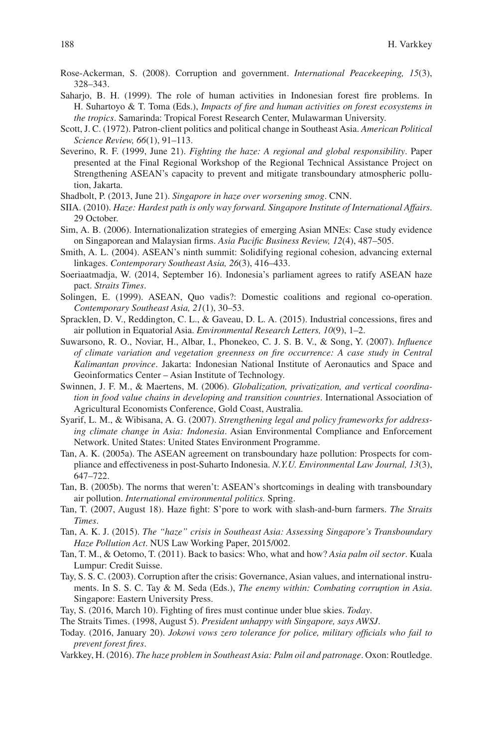- <span id="page-23-22"></span>Rose-Ackerman, S. (2008). Corruption and government. *International Peacekeeping, 15*(3), 328–343.
- <span id="page-23-3"></span>Sahario, B. H. (1999). The role of human activities in Indonesian forest fire problems. In H. Suhartoyo & T. Toma (Eds.), *Impacts of fire and human activities on forest ecosystems in the tropics*. Samarinda: Tropical Forest Research Center, Mulawarman University.
- <span id="page-23-5"></span>Scott, J. C. (1972). Patron-client politics and political change in Southeast Asia. *American Political Science Review, 66*(1), 91–113.
- <span id="page-23-18"></span>Severino, R. F. (1999, June 21). *Fighting the haze: A regional and global responsibility*. Paper presented at the Final Regional Workshop of the Regional Technical Assistance Project on Strengthening ASEAN's capacity to prevent and mitigate transboundary atmospheric pollution, Jakarta.
- <span id="page-23-10"></span>Shadbolt, P. (2013, June 21). *Singapore in haze over worsening smog*. CNN.
- <span id="page-23-13"></span>SIIA. (2010). *Haze: Hardest path is only way forward. Singapore Institute of International Affairs*. 29 October.
- <span id="page-23-6"></span>Sim, A. B. (2006). Internationalization strategies of emerging Asian MNEs: Case study evidence on Singaporean and Malaysian firms. *Asia Pacific Business Review, 12*(4), 487–505.
- <span id="page-23-15"></span>Smith, A. L. (2004). ASEAN's ninth summit: Solidifying regional cohesion, advancing external linkages. *Contemporary Southeast Asia, 26*(3), 416–433.
- <span id="page-23-14"></span>Soeriaatmadja, W. (2014, September 16). Indonesia's parliament agrees to ratify ASEAN haze pact. *Straits Times*.
- <span id="page-23-16"></span>Solingen, E. (1999). ASEAN, Quo vadis?: Domestic coalitions and regional co-operation. *Contemporary Southeast Asia, 21*(1), 30–53.
- <span id="page-23-4"></span>Spracklen, D. V., Reddington, C. L., & Gaveau, D. L. A. (2015). Industrial concessions, fires and air pollution in Equatorial Asia. *Environmental Research Letters, 10*(9), 1–2.
- <span id="page-23-0"></span>Suwarsono, R. O., Noviar, H., Albar, I., Phonekeo, C. J. S. B. V., & Song, Y. (2007). *Influence of climate variation and vegetation greenness on fire occurrence: A case study in Central Kalimantan province*. Jakarta: Indonesian National Institute of Aeronautics and Space and Geoinformatics Center – Asian Institute of Technology.
- <span id="page-23-2"></span>Swinnen, J. F. M., & Maertens, M. (2006). *Globalization, privatization, and vertical coordination in food value chains in developing and transition countries*. International Association of Agricultural Economists Conference, Gold Coast, Australia.
- <span id="page-23-9"></span>Syarif, L. M., & Wibisana, A. G. (2007). *Strengthening legal and policy frameworks for addressing climate change in Asia: Indonesia*. Asian Environmental Compliance and Enforcement Network. United States: United States Environment Programme.
- <span id="page-23-19"></span>Tan, A. K. (2005a). The ASEAN agreement on transboundary haze pollution: Prospects for compliance and effectiveness in post-Suharto Indonesia. *N.Y.U. Environmental Law Journal, 13*(3), 647–722.
- <span id="page-23-17"></span>Tan, B. (2005b). The norms that weren't: ASEAN's shortcomings in dealing with transboundary air pollution. *International environmental politics.* Spring.
- <span id="page-23-20"></span>Tan, T. (2007, August 18). Haze fight: S'pore to work with slash-and-burn farmers. *The Straits Times*.
- <span id="page-23-11"></span>Tan, A. K. J. (2015). *The "haze" crisis in Southeast Asia: Assessing Singapore's Transboundary Haze Pollution Act*. NUS Law Working Paper, 2015/002.
- <span id="page-23-1"></span>Tan, T. M., & Oetomo, T. (2011). Back to basics: Who, what and how? *Asia palm oil sector*. Kuala Lumpur: Credit Suisse.
- <span id="page-23-8"></span>Tay, S. S. C. (2003). Corruption after the crisis: Governance, Asian values, and international instruments. In S. S. C. Tay & M. Seda (Eds.), *The enemy within: Combating corruption in Asia*. Singapore: Eastern University Press.
- <span id="page-23-12"></span>Tay, S. (2016, March 10). Fighting of fires must continue under blue skies. *Today*.

<span id="page-23-21"></span>The Straits Times. (1998, August 5). *President unhappy with Singapore, says AWSJ*.

- <span id="page-23-23"></span>Today. (2016, January 20). *Jokowi vows zero tolerance for police, military officials who fail to prevent forest fires*.
- <span id="page-23-7"></span>Varkkey, H. (2016). *The haze problem in Southeast Asia: Palm oil and patronage*. Oxon: Routledge.